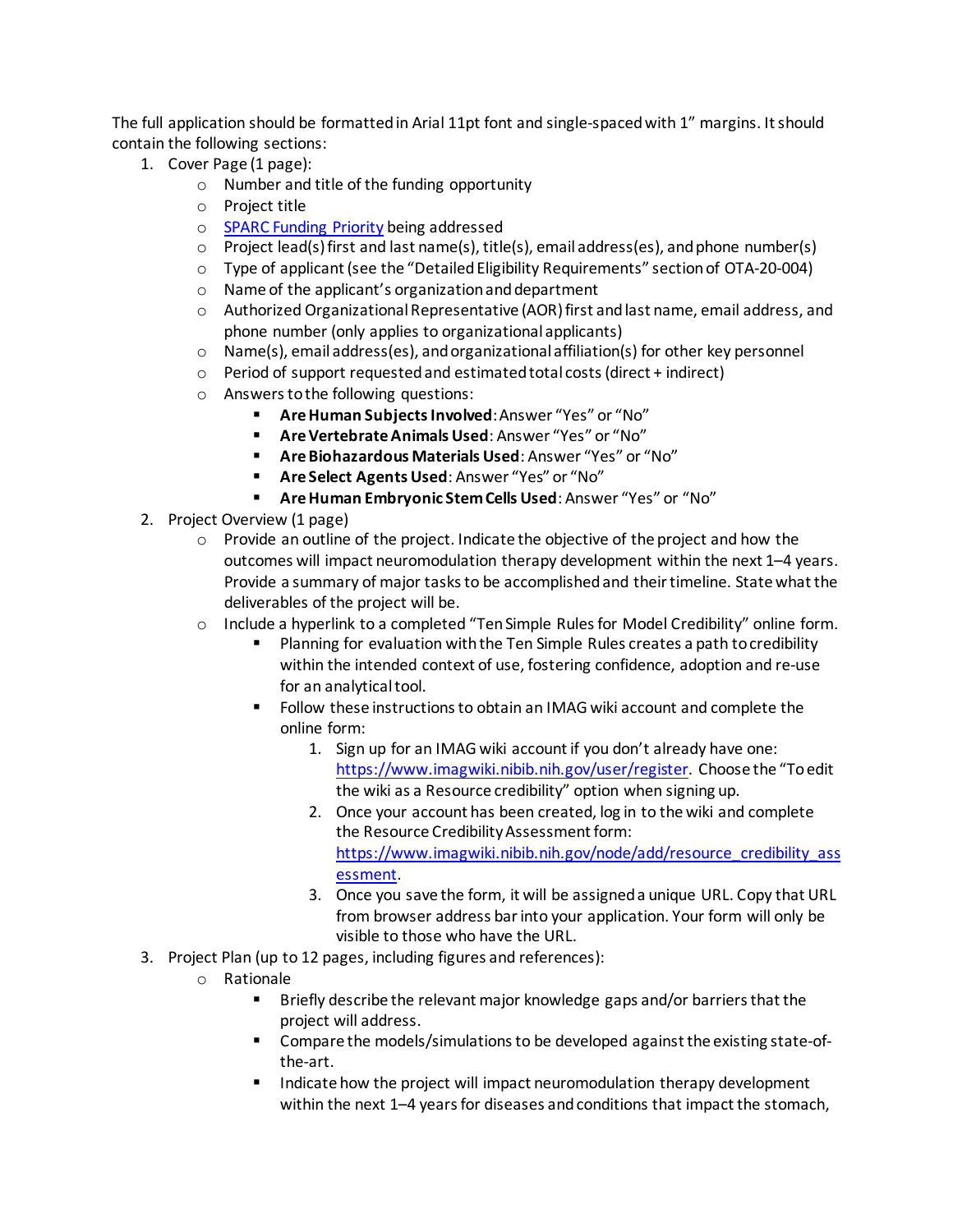The full application should be formatted in Arial 11pt font and single-spaced with 1" margins. It should contain the following sections:

- 1. Cover Page (1 page):
	- o Number and title of the funding opportunity
	- o Project title
	- o [SPARC Funding Priority](https://commonfund.nih.gov/sparc/foapriorities) being addressed
	- o Project lead(s) first and last name(s), title(s), email address(es), and phone number(s)
	- $\circ$  Type of applicant (see the "Detailed Eligibility Requirements" section of OTA-20-004)
	- o Name of the applicant's organization and department
	- $\circ$  Authorized Organizational Representative (AOR) first and last name, email address, and phone number (only applies to organizational applicants)
	- $\circ$  Name(s), email address(es), and organizational affiliation(s) for other key personnel
	- o Period of support requested and estimated total costs (direct + indirect)
	- o Answers to the following questions:
		- **Are Human Subjects Involved**: Answer "Yes" or "No"
		- **Are Vertebrate Animals Used**: Answer "Yes" or "No"
		- **Are Biohazardous Materials Used**: Answer "Yes" or "No"
		- **Are Select Agents Used**: Answer "Yes" or "No"
		- **Are Human Embryonic Stem Cells Used**: Answer "Yes" or "No"
- 2. Project Overview (1 page)
	- $\circ$  Provide an outline of the project. Indicate the objective of the project and how the outcomes will impact neuromodulation therapy development within the next 1–4 years. Provide a summary of major tasks to be accomplished and their timeline. State what the deliverables of the project will be.
	- o Include a hyperlink to a completed "Ten Simple Rules for Model Credibility" online form.
		- Planning for evaluation with the Ten Simple Rules creates a path to credibility within the intended context of use, fostering confidence, adoption and re-use for an analytical tool.
		- Follow these instructions to obtain an IMAG wiki account and complete the online form:
			- 1. Sign up for an IMAG wiki account if you don't already have one: <https://www.imagwiki.nibib.nih.gov/user/register>. Choose the "To edit the wiki as a Resource credibility" option when signing up.
			- 2. Once your account has been created, log in to the wiki and complete the Resource Credibility Assessment form: [https://www.imagwiki.nibib.nih.gov/node/add/resource\\_credibility\\_ass](https://www.imagwiki.nibib.nih.gov/node/add/resource_credibility_assessment) [essment.](https://www.imagwiki.nibib.nih.gov/node/add/resource_credibility_assessment)
			- 3. Once you save the form, it will be assigned a unique URL. Copy that URL from browser address bar into your application. Your form will only be visible to those who have the URL.
- 3. Project Plan (up to 12 pages, including figures and references):
	- o Rationale<br>Br
		- Briefly describe the relevant major knowledge gaps and/or barriers that the project will address.
		- Compare the models/simulations to be developed against the existing state-ofthe-art.
		- Indicate how the project will impact neuromodulation therapy development within the next 1-4 years for diseases and conditions that impact the stomach,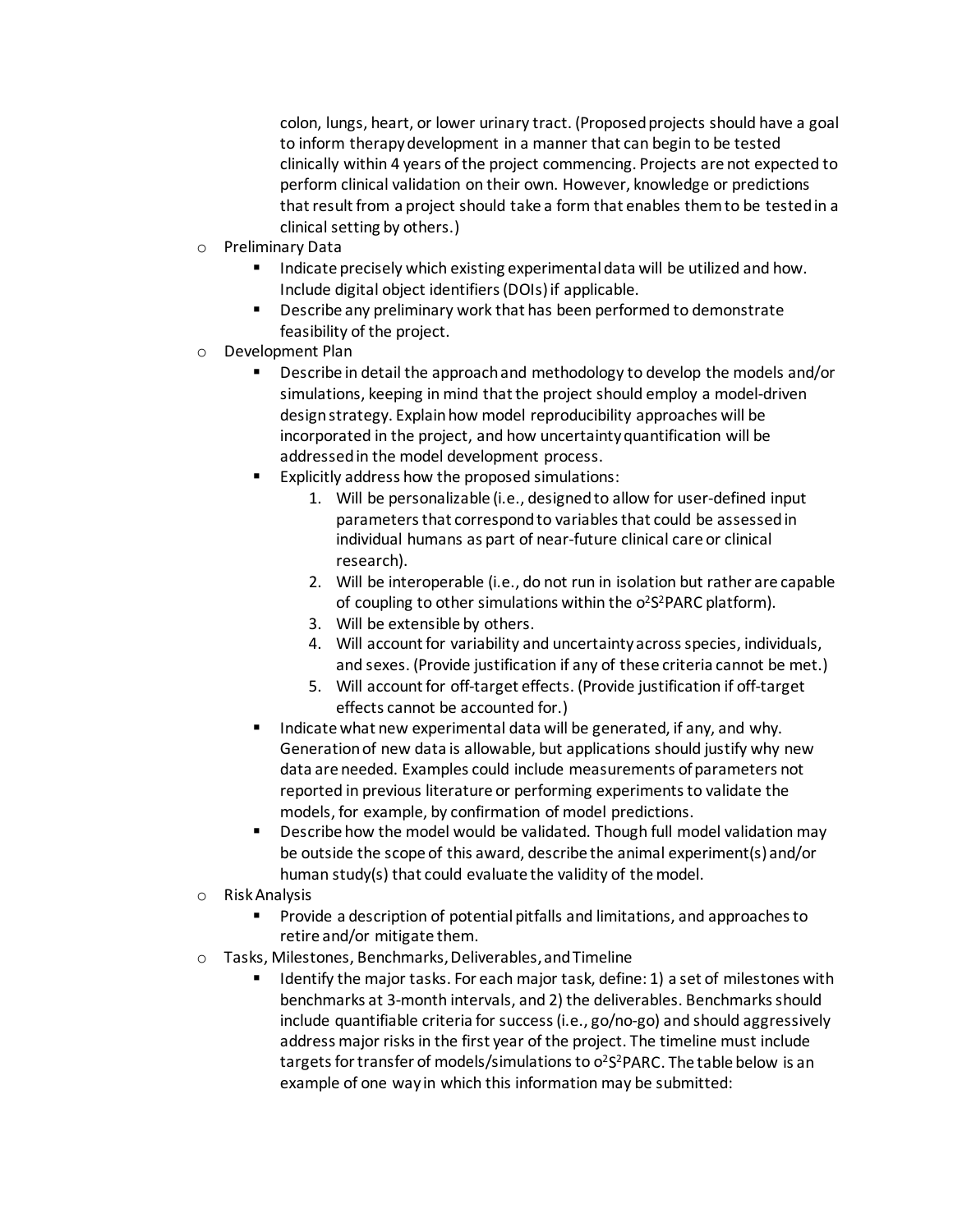colon, lungs, heart, or lower urinary tract. (Proposed projects should have a goal to inform therapy development in a manner that can begin to be tested clinically within 4 years of the project commencing. Projects are not expected to perform clinical validation on their own. However, knowledge or predictions that result from a project should take a form that enables themto be tested in a clinical setting by others.)

- o Preliminary Data
	- Indicate precisely which existing experimental data will be utilized and how. Include digital object identifiers (DOIs) if applicable.
	- Describe any preliminary work that has been performed to demonstrate feasibility of the project.
- o Development Plan
	- Describe in detail the approach and methodology to develop the models and/or simulations, keeping in mind that the project should employ a model-driven design strategy. Explain how model reproducibility approaches will be incorporated in the project, and how uncertainty quantification will be addressed in the model development process.
	- Explicitly address how the proposed simulations:
		- 1. Will be personalizable (i.e., designed to allow for user-defined input parameters that correspond to variables that could be assessed in individual humans as part of near-future clinical care or clinical research).
		- 2. Will be interoperable (i.e., do not run in isolation but rather are capable of coupling to other simulations within the o<sup>2</sup>S<sup>2</sup>PARC platform).
		- 3. Will be extensible by others.
		- 4. Will account for variability and uncertainty across species, individuals, and sexes. (Provide justification if any of these criteria cannot be met.)
		- 5. Will account for off-target effects. (Provide justification if off-target effects cannot be accounted for.)
	- Indicate what new experimental data will be generated, if any, and why. Generation of new data is allowable, but applications should justify why new data are needed. Examples could include measurements of parameters not reported in previous literature or performing experiments to validate the models, for example, by confirmation of model predictions.
	- Describe how the model would be validated. Though full model validation may be outside the scope of this award, describe the animal experiment(s) and/or human study(s) that could evaluate the validity of the model.
- o Risk Analysis
	- Provide a description of potential pitfalls and limitations, and approaches to retire and/or mitigate them.
- o Tasks, Milestones, Benchmarks, Deliverables,and Timeline
	- Identify the major tasks. For each major task, define: 1) a set of milestones with benchmarks at 3-month intervals, and 2) the deliverables. Benchmarks should include quantifiable criteria for success (i.e., go/no-go) and should aggressively address major risks in the first year of the project. The timeline must include targets for transfer of models/simulations to o<sup>2</sup>S<sup>2</sup>PARC. The table below is an example of one way in which this information may be submitted: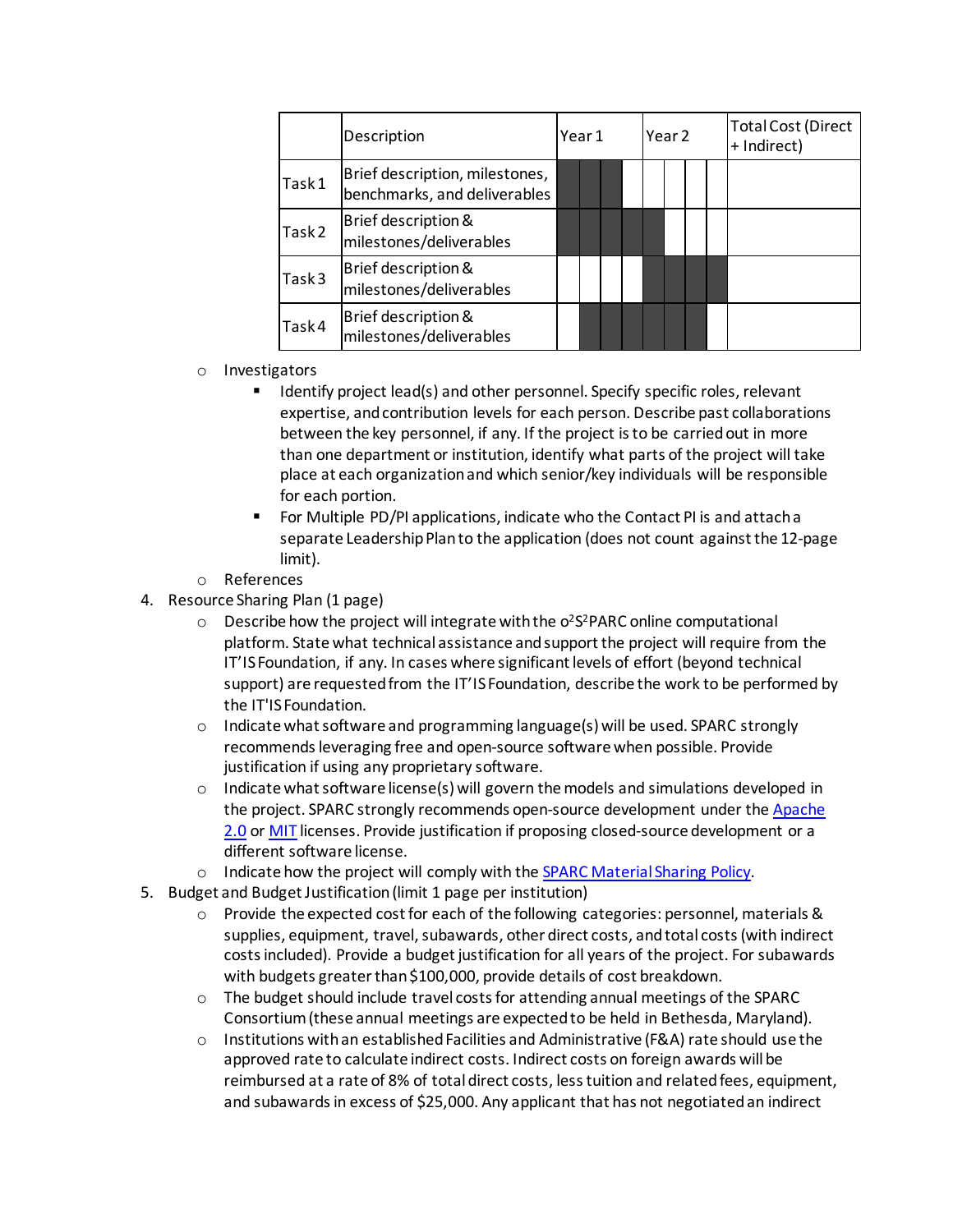|                   | Description                                                    | Year 1 |  |  | Year <sub>2</sub> |  |  |  | <b>Total Cost (Direct</b><br>+ Indirect) |
|-------------------|----------------------------------------------------------------|--------|--|--|-------------------|--|--|--|------------------------------------------|
| Task1             | Brief description, milestones,<br>benchmarks, and deliverables |        |  |  |                   |  |  |  |                                          |
| Task <sub>2</sub> | Brief description &<br>milestones/deliverables                 |        |  |  |                   |  |  |  |                                          |
| Task3             | Brief description &<br>milestones/deliverables                 |        |  |  |                   |  |  |  |                                          |
| Task4             | Brief description &<br>milestones/deliverables                 |        |  |  |                   |  |  |  |                                          |

- o Investigators
	- Identify project lead(s) and other personnel. Specify specific roles, relevant expertise, and contribution levels for each person. Describe past collaborations between the key personnel, if any. If the project is to be carried out in more than one department or institution, identify what parts of the project will take place at each organization and which senior/key individuals will be responsible for each portion.
	- For Multiple PD/PI applications, indicate who the Contact PI is and attach a separate Leadership Plan to the application (does not count against the 12-page limit).
- o References
- 4. Resource Sharing Plan (1 page)
	- $\circ$  Describe how the project will integrate with the o<sup>2</sup>S<sup>2</sup>PARC online computational platform. State what technical assistance and supportthe project will require from the IT'IS Foundation, if any. In cases where significant levels of effort (beyond technical support) are requested from the IT'IS Foundation, describe the work to be performed by the IT'IS Foundation.
	- $\circ$  Indicate what software and programming language(s) will be used. SPARC strongly recommends leveraging free and open-source software when possible. Provide justification if using any proprietary software.
	- $\circ$  Indicate what software license(s) will govern the models and simulations developed in the project. SPARC strongly recommends open-source development under the Apache [2.0](https://opensource.org/licenses/Apache-2.0) o[r MIT](https://opensource.org/licenses/MIT) licenses. Provide justification if proposing closed-source development or a different software license.
	- o Indicate how the project will comply with the [SPARC Material Sharing Policy.](https://commonfund.nih.gov/sites/default/files/SPARC_material%20sharing%20policy%2026jan17_508.pdf)
- 5. Budget and Budget Justification(limit 1 page per institution)
	- o Provide the expected cost for each of the following categories: personnel, materials & supplies, equipment, travel, subawards, other direct costs, and total costs (with indirect costs included). Provide a budget justification for all years of the project. For subawards with budgets greater than \$100,000, provide details of cost breakdown.
	- $\circ$  The budget should include travel costs for attending annual meetings of the SPARC Consortium (these annual meetings are expected to be held in Bethesda, Maryland).
	- $\circ$  Institutions with an established Facilities and Administrative (F&A) rate should use the approved rate to calculate indirect costs. Indirect costs on foreign awards will be reimbursed at a rate of 8% of total direct costs, less tuition and related fees, equipment, and subawards in excess of \$25,000. Any applicant that has not negotiated an indirect